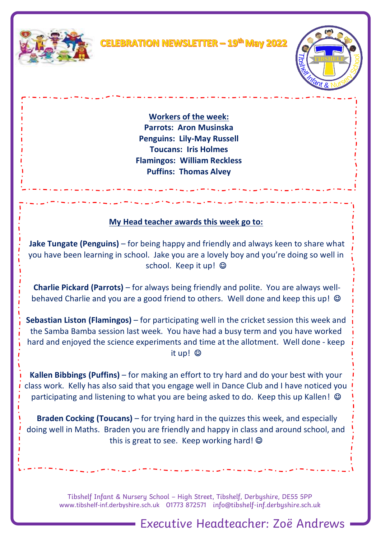



**Workers of the week: Parrots: Aron Musinska Penguins: Lily-May Russell Toucans: Iris Holmes Flamingos: William Reckless Puffins: Thomas Alvey**

## **My Head teacher awards this week go to:**

والمستوات والمستوات والمنادية

**Jake Tungate (Penguins)** – for being happy and friendly and always keen to share what you have been learning in school. Jake you are a lovely boy and you're doing so well in school. Keep it up!  $\odot$ 

**Charlie Pickard (Parrots)** – for always being friendly and polite. You are always wellbehaved Charlie and you are a good friend to others. Well done and keep this up!  $\odot$ 

**Sebastian Liston (Flamingos)** – for participating well in the cricket session this week and the Samba Bamba session last week. You have had a busy term and you have worked hard and enjoyed the science experiments and time at the allotment. Well done - keep it up! ☺

**Kallen Bibbings (Puffins)** – for making an effort to try hard and do your best with your class work. Kelly has also said that you engage well in Dance Club and I have noticed you participating and listening to what you are being asked to do. Keep this up Kallen!  $\odot$ 

**Braden Cocking (Toucans)** – for trying hard in the quizzes this week, and especially doing well in Maths. Braden you are friendly and happy in class and around school, and this is great to see. Keep working hard! ©

> Tibshelf Infant & Nursery School – High Street, Tibshelf, Derbyshire, DE55 5PP [www.tibshelf-inf.derbyshire.sch.uk](http://www.tibshelf-inf.derbyshire.sch.uk/) 01773 872571 info@tibshelf-inf.derbyshire.sch.uk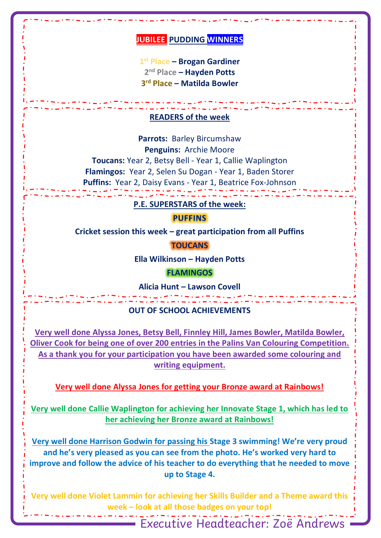## **JUBILEE PUDDING WINNERS**

**1 st Place – Brogan Gardiner 2 nd Place – Hayden Potts 3 rd Place – Matilda Bowler**

### **READERS of the week**

**Parrots:** Barley Bircumshaw **Penguins:** Archie Moore **Toucans:** Year 2, Betsy Bell - Year 1, Callie Waplington **Flamingos:** Year 2, Selen Su Dogan - Year 1, Baden Storer Puffins: Year 2, Daisy Evans - Year 1, Beatrice Fox-Johnson

#### **P.E. SUPERSTARS of the week:**

**PUFFINS** 

**Cricket session this week – great participation from all Puffins**

**TOUCANS**

**Ella Wilkinson – Hayden Potts**

**FLAMINGOS**

**Alicia Hunt – Lawson Covell**

#### **OUT OF SCHOOL ACHIEVEMENTS**

**Very well done Alyssa Jones, Betsy Bell, Finnley Hill, James Bowler, Matilda Bowler, Oliver Cook for being one of over 200 entries in the Palins Van Colouring Competition. As a thank you for your participation you have been awarded some colouring and writing equipment.**

**Very well done Alyssa Jones for getting your Bronze award at Rainbows!**

**Very well done Callie Waplington for achieving her Innovate Stage 1, which has led to her achieving her Bronze award at Rainbows!**

**Very well done Harrison Godwin for passing his Stage 3 swimming! We're very proud and he's very pleased as you can see from the photo. He's worked very hard to improve and follow the advice of his teacher to do everything that he needed to move up to Stage 4.**

Very well done Violet Lammin for achieving her Skills Builder and a Theme award this week – look at all those badges on your top!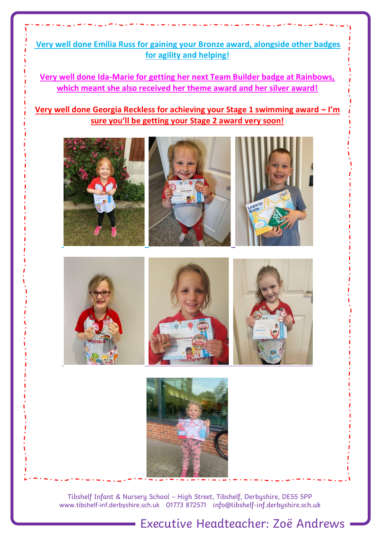**Very well done Emilia Russ for gaining your Bronze award, alongside other badges for agility and helping!**

**Very well done Ida-Marie for getting her next Team Builder badge at Rainbows, which meant she also received her theme award and her silver award!**

**Very well done Georgia Reckless for achieving your Stage 1 swimming award – I'm sure you'll be getting your Stage 2 award very soon!**



Tibshelf Infant & Nursery School – High Street, Tibshelf, Derbyshire, DE55 5PP [www.tibshelf-inf.derbyshire.sch.uk](http://www.tibshelf-inf.derbyshire.sch.uk/) 01773 872571 info@tibshelf-inf.derbyshire.sch.uk